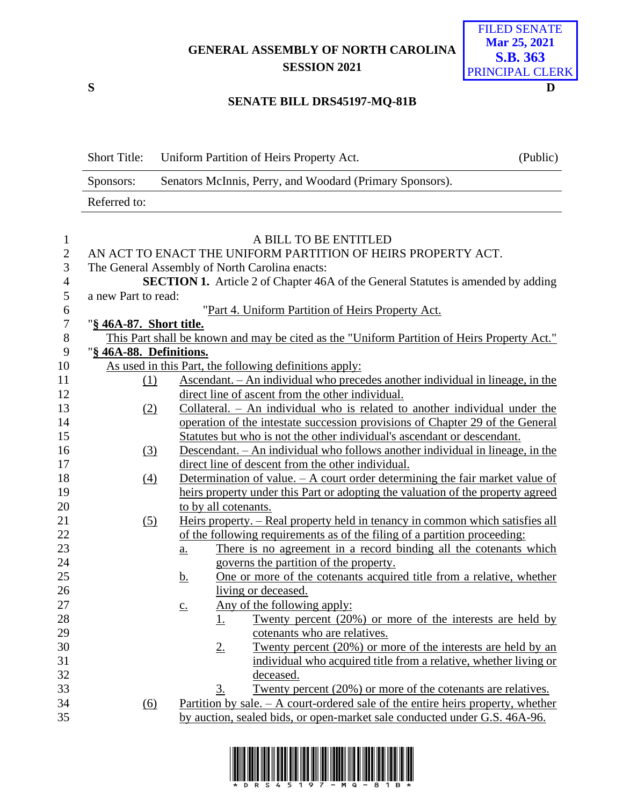**GENERAL ASSEMBLY OF NORTH CAROLINA SESSION 2021**

**S D**

## FILED SENATE **Mar 25, 2021 S.B. 363** PRINCIPAL CLERK

## **SENATE BILL DRS45197-MQ-81B**

|                  | <b>Short Title:</b>     | Uniform Partition of Heirs Property Act.                                                                 | (Public) |
|------------------|-------------------------|----------------------------------------------------------------------------------------------------------|----------|
|                  | Sponsors:               | Senators McInnis, Perry, and Woodard (Primary Sponsors).                                                 |          |
|                  | Referred to:            |                                                                                                          |          |
|                  |                         |                                                                                                          |          |
| $\mathbf{1}$     |                         | A BILL TO BE ENTITLED                                                                                    |          |
| $\mathbf{2}$     |                         | AN ACT TO ENACT THE UNIFORM PARTITION OF HEIRS PROPERTY ACT.                                             |          |
| $\mathfrak{Z}$   |                         | The General Assembly of North Carolina enacts:                                                           |          |
| $\overline{4}$   |                         | <b>SECTION 1.</b> Article 2 of Chapter 46A of the General Statutes is amended by adding                  |          |
| 5                | a new Part to read:     |                                                                                                          |          |
| 6                |                         | "Part 4. Uniform Partition of Heirs Property Act.                                                        |          |
| $\boldsymbol{7}$ | "§ 46A-87. Short title. |                                                                                                          |          |
| $8\,$            |                         | This Part shall be known and may be cited as the "Uniform Partition of Heirs Property Act."              |          |
| 9                | "§ 46A-88. Definitions. |                                                                                                          |          |
| 10               |                         | As used in this Part, the following definitions apply:                                                   |          |
| 11               | (1)                     | Ascendant. – An individual who precedes another individual in lineage, in the                            |          |
| 12               |                         | direct line of ascent from the other individual.                                                         |          |
| 13               | (2)                     | Collateral. - An individual who is related to another individual under the                               |          |
| 14               |                         | operation of the intestate succession provisions of Chapter 29 of the General                            |          |
| 15               |                         | Statutes but who is not the other individual's ascendant or descendant.                                  |          |
| 16               | (3)                     | Descendant. – An individual who follows another individual in lineage, in the                            |          |
| 17               |                         | direct line of descent from the other individual.                                                        |          |
| 18               | (4)                     | Determination of value. - A court order determining the fair market value of                             |          |
| 19               |                         | heirs property under this Part or adopting the valuation of the property agreed                          |          |
| 20               |                         | to by all cotenants.                                                                                     |          |
| 21               | (5)                     | Heirs property. - Real property held in tenancy in common which satisfies all                            |          |
| 22               |                         | of the following requirements as of the filing of a partition proceeding:                                |          |
| 23               |                         | There is no agreement in a record binding all the cotenants which<br>$\underline{a}$ .                   |          |
| 24               |                         | governs the partition of the property.                                                                   |          |
| 25<br>26         |                         | One or more of the cotenants acquired title from a relative, whether<br><u>b.</u><br>living or deceased. |          |
| 27               |                         | Any of the following apply:                                                                              |          |
| 28               |                         | $\mathbf{c}$ .<br>Twenty percent (20%) or more of the interests are held by                              |          |
| 29               |                         | <u>1.</u><br>cotenants who are relatives.                                                                |          |
| 30               |                         | <u>Twenty percent (20%) or more of the interests are held by an</u><br>$2_{\cdot}$                       |          |
| 31               |                         | individual who acquired title from a relative, whether living or                                         |          |
| 32               |                         | deceased.                                                                                                |          |
| 33               |                         | Twenty percent (20%) or more of the cotenants are relatives.<br>3.                                       |          |
| 34               | <u>(6)</u>              | Partition by sale. $- A$ court-ordered sale of the entire heirs property, whether                        |          |
| 35               |                         | by auction, sealed bids, or open-market sale conducted under G.S. 46A-96.                                |          |
|                  |                         |                                                                                                          |          |

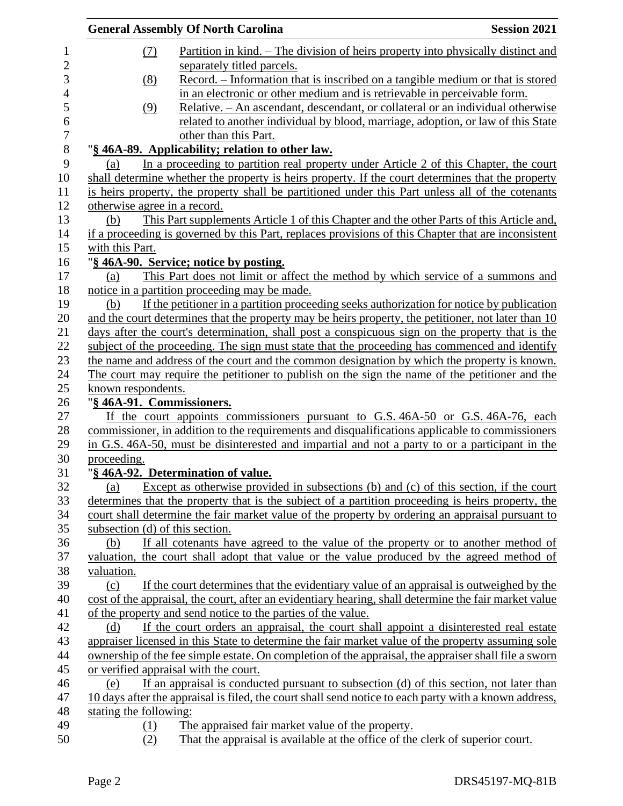|                                 | <b>General Assembly Of North Carolina</b>                                                                                   | <b>Session 2021</b> |
|---------------------------------|-----------------------------------------------------------------------------------------------------------------------------|---------------------|
| (7)                             | <u>Partition in kind. – The division of heirs property into physically distinct and</u>                                     |                     |
|                                 | separately titled parcels.                                                                                                  |                     |
| (8)                             | Record. – Information that is inscribed on a tangible medium or that is stored                                              |                     |
|                                 | in an electronic or other medium and is retrievable in perceivable form.                                                    |                     |
| (9)                             | Relative. - An ascendant, descendant, or collateral or an individual otherwise                                              |                     |
|                                 | related to another individual by blood, marriage, adoption, or law of this State                                            |                     |
|                                 | other than this Part.                                                                                                       |                     |
|                                 | "§ 46A-89. Applicability; relation to other law.                                                                            |                     |
| (a)                             | In a proceeding to partition real property under Article 2 of this Chapter, the court                                       |                     |
|                                 | shall determine whether the property is heirs property. If the court determines that the property                           |                     |
|                                 | is heirs property, the property shall be partitioned under this Part unless all of the cotenants                            |                     |
| otherwise agree in a record.    |                                                                                                                             |                     |
| (b)                             | This Part supplements Article 1 of this Chapter and the other Parts of this Article and,                                    |                     |
|                                 | if a proceeding is governed by this Part, replaces provisions of this Chapter that are inconsistent                         |                     |
| with this Part.                 |                                                                                                                             |                     |
|                                 | "§ 46A-90. Service; notice by posting.                                                                                      |                     |
| (a)                             | This Part does not limit or affect the method by which service of a summons and                                             |                     |
|                                 | notice in a partition proceeding may be made.                                                                               |                     |
| (b)                             | If the petitioner in a partition proceeding seeks authorization for notice by publication                                   |                     |
|                                 | and the court determines that the property may be heirs property, the petitioner, not later than 10                         |                     |
|                                 | days after the court's determination, shall post a conspicuous sign on the property that is the                             |                     |
|                                 | subject of the proceeding. The sign must state that the proceeding has commenced and identify                               |                     |
|                                 | the name and address of the court and the common designation by which the property is known.                                |                     |
|                                 | The court may require the petitioner to publish on the sign the name of the petitioner and the                              |                     |
| known respondents.              |                                                                                                                             |                     |
| "§ 46A-91. Commissioners.       |                                                                                                                             |                     |
|                                 | If the court appoints commissioners pursuant to G.S. 46A-50 or G.S. 46A-76, each                                            |                     |
|                                 | commissioner, in addition to the requirements and disqualifications applicable to commissioners                             |                     |
|                                 | in G.S. 46A-50, must be disinterested and impartial and not a party to or a participant in the                              |                     |
| proceeding.                     |                                                                                                                             |                     |
| (a)                             | "§ 46A-92. Determination of value.<br>Except as otherwise provided in subsections (b) and (c) of this section, if the court |                     |
|                                 | determines that the property that is the subject of a partition proceeding is heirs property, the                           |                     |
|                                 | court shall determine the fair market value of the property by ordering an appraisal pursuant to                            |                     |
| subsection (d) of this section. |                                                                                                                             |                     |
| (b)                             | If all cotenants have agreed to the value of the property or to another method of                                           |                     |
|                                 | valuation, the court shall adopt that value or the value produced by the agreed method of                                   |                     |
| valuation.                      |                                                                                                                             |                     |
| (c)                             | If the court determines that the evidentiary value of an appraisal is outweighed by the                                     |                     |
|                                 | cost of the appraisal, the court, after an evidentiary hearing, shall determine the fair market value                       |                     |
|                                 | of the property and send notice to the parties of the value.                                                                |                     |
| (d)                             | If the court orders an appraisal, the court shall appoint a disinterested real estate                                       |                     |
|                                 | appraiser licensed in this State to determine the fair market value of the property assuming sole                           |                     |
|                                 | ownership of the fee simple estate. On completion of the appraisal, the appraiser shall file a sworn                        |                     |
|                                 | or verified appraisal with the court.                                                                                       |                     |
| (e)                             | If an appraisal is conducted pursuant to subsection (d) of this section, not later than                                     |                     |
|                                 | 10 days after the appraisal is filed, the court shall send notice to each party with a known address,                       |                     |
| stating the following:          |                                                                                                                             |                     |
| (1)                             | The appraised fair market value of the property.                                                                            |                     |
| (2)                             | That the appraisal is available at the office of the clerk of superior court.                                               |                     |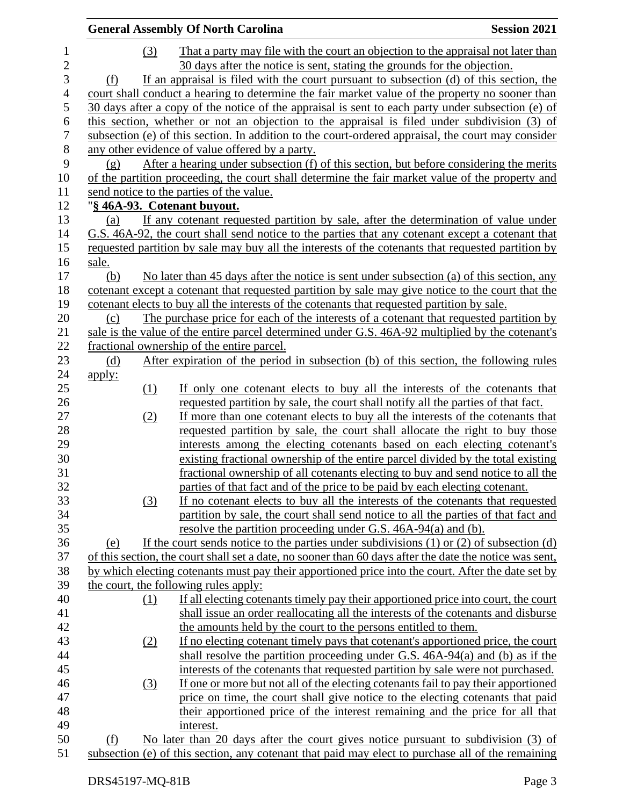|                                | <b>General Assembly Of North Carolina</b> |          |                                                                                                                                                                                                    | <b>Session 2021</b> |
|--------------------------------|-------------------------------------------|----------|----------------------------------------------------------------------------------------------------------------------------------------------------------------------------------------------------|---------------------|
| $\mathbf{1}$<br>$\overline{c}$ |                                           | (3)      | That a party may file with the court an objection to the appraisal not later than<br>30 days after the notice is sent, stating the grounds for the objection.                                      |                     |
| 3                              | (f)                                       |          | If an appraisal is filed with the court pursuant to subsection (d) of this section, the                                                                                                            |                     |
| $\overline{4}$                 |                                           |          | court shall conduct a hearing to determine the fair market value of the property no sooner than                                                                                                    |                     |
| 5                              |                                           |          | 30 days after a copy of the notice of the appraisal is sent to each party under subsection (e) of                                                                                                  |                     |
| 6<br>$\boldsymbol{7}$          |                                           |          | this section, whether or not an objection to the appraisal is filed under subdivision (3) of<br>subsection (e) of this section. In addition to the court-ordered appraisal, the court may consider |                     |
| $8\,$                          |                                           |          | any other evidence of value offered by a party.                                                                                                                                                    |                     |
| 9                              | (g)                                       |          | After a hearing under subsection (f) of this section, but before considering the merits                                                                                                            |                     |
| 10                             |                                           |          | of the partition proceeding, the court shall determine the fair market value of the property and                                                                                                   |                     |
| 11                             |                                           |          | send notice to the parties of the value.                                                                                                                                                           |                     |
| 12                             |                                           |          | "§ 46A-93. Cotenant buyout.                                                                                                                                                                        |                     |
| 13                             | (a)                                       |          | If any cotenant requested partition by sale, after the determination of value under                                                                                                                |                     |
| 14                             |                                           |          | G.S. 46A-92, the court shall send notice to the parties that any cotenant except a cotenant that                                                                                                   |                     |
| 15                             |                                           |          | requested partition by sale may buy all the interests of the cotenants that requested partition by                                                                                                 |                     |
| 16                             | sale.                                     |          |                                                                                                                                                                                                    |                     |
| 17                             | (b)                                       |          | No later than 45 days after the notice is sent under subsection (a) of this section, any                                                                                                           |                     |
| 18                             |                                           |          | cotenant except a cotenant that requested partition by sale may give notice to the court that the                                                                                                  |                     |
| 19                             |                                           |          | cotenant elects to buy all the interests of the cotenants that requested partition by sale.                                                                                                        |                     |
| 20                             | (c)                                       |          | The purchase price for each of the interests of a cotenant that requested partition by                                                                                                             |                     |
| 21                             |                                           |          | sale is the value of the entire parcel determined under G.S. 46A-92 multiplied by the cotenant's                                                                                                   |                     |
| 22                             |                                           |          | fractional ownership of the entire parcel.                                                                                                                                                         |                     |
| 23                             | (d)                                       |          | After expiration of the period in subsection (b) of this section, the following rules                                                                                                              |                     |
| 24                             | <u>apply:</u>                             |          |                                                                                                                                                                                                    |                     |
| 25                             |                                           | (1)      | If only one cotenant elects to buy all the interests of the cotenants that                                                                                                                         |                     |
| 26                             |                                           |          | requested partition by sale, the court shall notify all the parties of that fact.                                                                                                                  |                     |
| 27                             |                                           | (2)      | If more than one cotenant elects to buy all the interests of the cotenants that                                                                                                                    |                     |
| 28                             |                                           |          | requested partition by sale, the court shall allocate the right to buy those                                                                                                                       |                     |
| 29                             |                                           |          | interests among the electing cotenants based on each electing cotenant's                                                                                                                           |                     |
| 30                             |                                           |          | existing fractional ownership of the entire parcel divided by the total existing                                                                                                                   |                     |
| 31                             |                                           |          | fractional ownership of all cotenants electing to buy and send notice to all the                                                                                                                   |                     |
| 32                             |                                           |          | parties of that fact and of the price to be paid by each electing cotenant.                                                                                                                        |                     |
| 33                             |                                           | (3)      | If no cotenant elects to buy all the interests of the cotenants that requested                                                                                                                     |                     |
| 34                             |                                           |          | partition by sale, the court shall send notice to all the parties of that fact and                                                                                                                 |                     |
| 35                             |                                           |          | resolve the partition proceeding under G.S. 46A-94(a) and (b).                                                                                                                                     |                     |
| 36                             | (e)                                       |          | If the court sends notice to the parties under subdivisions $(1)$ or $(2)$ of subsection $(d)$                                                                                                     |                     |
| 37                             |                                           |          | of this section, the court shall set a date, no sooner than 60 days after the date the notice was sent,                                                                                            |                     |
| 38                             |                                           |          | by which electing cotenants must pay their apportioned price into the court. After the date set by                                                                                                 |                     |
| 39<br>40                       |                                           |          | the court, the following rules apply:                                                                                                                                                              |                     |
| 41                             |                                           | $\Omega$ | If all electing cotenants timely pay their apportioned price into court, the court<br>shall issue an order reallocating all the interests of the cotenants and disburse                            |                     |
| 42                             |                                           |          | the amounts held by the court to the persons entitled to them.                                                                                                                                     |                     |
| 43                             |                                           | (2)      | If no electing cotenant timely pays that cotenant's apportioned price, the court                                                                                                                   |                     |
| 44                             |                                           |          | shall resolve the partition proceeding under G.S. $46A-94(a)$ and (b) as if the                                                                                                                    |                     |
| 45                             |                                           |          | interests of the cotenants that requested partition by sale were not purchased.                                                                                                                    |                     |
| 46                             |                                           | (3)      | If one or more but not all of the electing cotenants fail to pay their apportioned                                                                                                                 |                     |
| 47                             |                                           |          | price on time, the court shall give notice to the electing cotenants that paid                                                                                                                     |                     |
| 48                             |                                           |          | their apportioned price of the interest remaining and the price for all that                                                                                                                       |                     |
| 49                             |                                           |          | interest.                                                                                                                                                                                          |                     |
| 50                             | (f)                                       |          | No later than 20 days after the court gives notice pursuant to subdivision (3) of                                                                                                                  |                     |
| 51                             |                                           |          | subsection (e) of this section, any cotenant that paid may elect to purchase all of the remaining                                                                                                  |                     |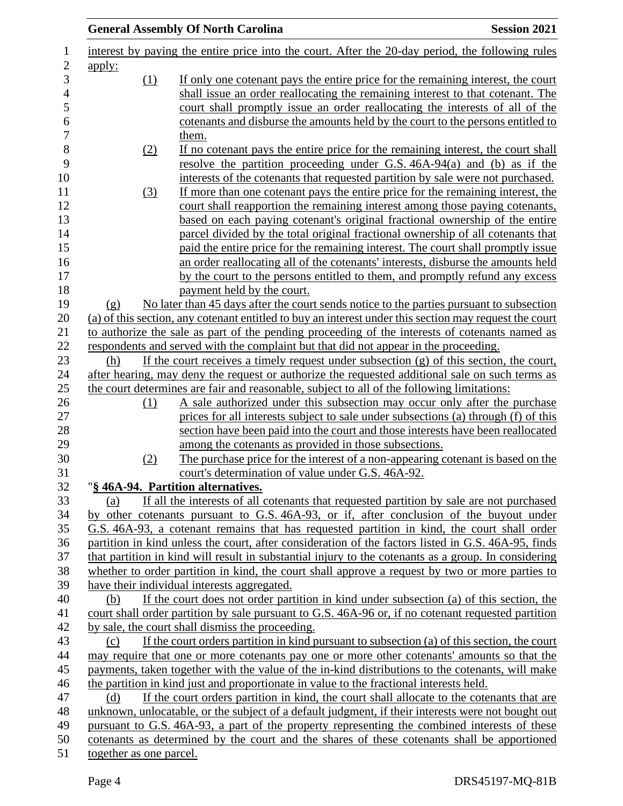|                         | <b>General Assembly Of North Carolina</b>                                                              | <b>Session 2021</b> |
|-------------------------|--------------------------------------------------------------------------------------------------------|---------------------|
|                         | interest by paying the entire price into the court. After the 20-day period, the following rules       |                     |
| <u>apply:</u>           |                                                                                                        |                     |
| (1)                     | If only one cotenant pays the entire price for the remaining interest, the court                       |                     |
|                         | shall issue an order reallocating the remaining interest to that cotenant. The                         |                     |
|                         | court shall promptly issue an order reallocating the interests of all of the                           |                     |
|                         | cotenants and disburse the amounts held by the court to the persons entitled to                        |                     |
|                         | them.                                                                                                  |                     |
| (2)                     | If no cotenant pays the entire price for the remaining interest, the court shall                       |                     |
|                         | resolve the partition proceeding under G.S. $46A-94(a)$ and (b) as if the                              |                     |
|                         | interests of the cotenants that requested partition by sale were not purchased.                        |                     |
| (3)                     | If more than one cotenant pays the entire price for the remaining interest, the                        |                     |
|                         | court shall reapportion the remaining interest among those paying cotenants,                           |                     |
|                         | based on each paying cotenant's original fractional ownership of the entire                            |                     |
|                         | parcel divided by the total original fractional ownership of all cotenants that                        |                     |
|                         | paid the entire price for the remaining interest. The court shall promptly issue                       |                     |
|                         | an order reallocating all of the cotenants' interests, disburse the amounts held                       |                     |
|                         | by the court to the persons entitled to them, and promptly refund any excess                           |                     |
|                         | payment held by the court.                                                                             |                     |
| (g)                     | No later than 45 days after the court sends notice to the parties pursuant to subsection               |                     |
|                         | (a) of this section, any cotenant entitled to buy an interest under this section may request the court |                     |
|                         | to authorize the sale as part of the pending proceeding of the interests of cotenants named as         |                     |
|                         | respondents and served with the complaint but that did not appear in the proceeding.                   |                     |
| (h)                     | If the court receives a timely request under subsection $(g)$ of this section, the court,              |                     |
|                         | after hearing, may deny the request or authorize the requested additional sale on such terms as        |                     |
|                         | the court determines are fair and reasonable, subject to all of the following limitations:             |                     |
| (1)                     | A sale authorized under this subsection may occur only after the purchase                              |                     |
|                         | prices for all interests subject to sale under subsections (a) through (f) of this                     |                     |
|                         | section have been paid into the court and those interests have been reallocated                        |                     |
|                         | among the cotenants as provided in those subsections.                                                  |                     |
| (2)                     | The purchase price for the interest of a non-appearing cotenant is based on the                        |                     |
|                         | court's determination of value under G.S. 46A-92.                                                      |                     |
|                         | "§ 46A-94. Partition alternatives.                                                                     |                     |
| (a)                     | If all the interests of all cotenants that requested partition by sale are not purchased               |                     |
|                         | by other cotenants pursuant to G.S. 46A-93, or if, after conclusion of the buyout under                |                     |
|                         | G.S. 46A-93, a cotenant remains that has requested partition in kind, the court shall order            |                     |
|                         | partition in kind unless the court, after consideration of the factors listed in G.S. 46A-95, finds    |                     |
|                         | that partition in kind will result in substantial injury to the cotenants as a group. In considering   |                     |
|                         | whether to order partition in kind, the court shall approve a request by two or more parties to        |                     |
|                         | have their individual interests aggregated.                                                            |                     |
| (b)                     | If the court does not order partition in kind under subsection (a) of this section, the                |                     |
|                         | court shall order partition by sale pursuant to G.S. 46A-96 or, if no cotenant requested partition     |                     |
|                         | by sale, the court shall dismiss the proceeding.                                                       |                     |
| (c)                     | If the court orders partition in kind pursuant to subsection (a) of this section, the court            |                     |
|                         | may require that one or more cotenants pay one or more other cotenants' amounts so that the            |                     |
|                         | payments, taken together with the value of the in-kind distributions to the cotenants, will make       |                     |
|                         | the partition in kind just and proportionate in value to the fractional interests held.                |                     |
| (d)                     | If the court orders partition in kind, the court shall allocate to the cotenants that are              |                     |
|                         | unknown, unlocatable, or the subject of a default judgment, if their interests were not bought out     |                     |
|                         | pursuant to G.S. 46A-93, a part of the property representing the combined interests of these           |                     |
|                         | cotenants as determined by the court and the shares of these cotenants shall be apportioned            |                     |
| together as one parcel. |                                                                                                        |                     |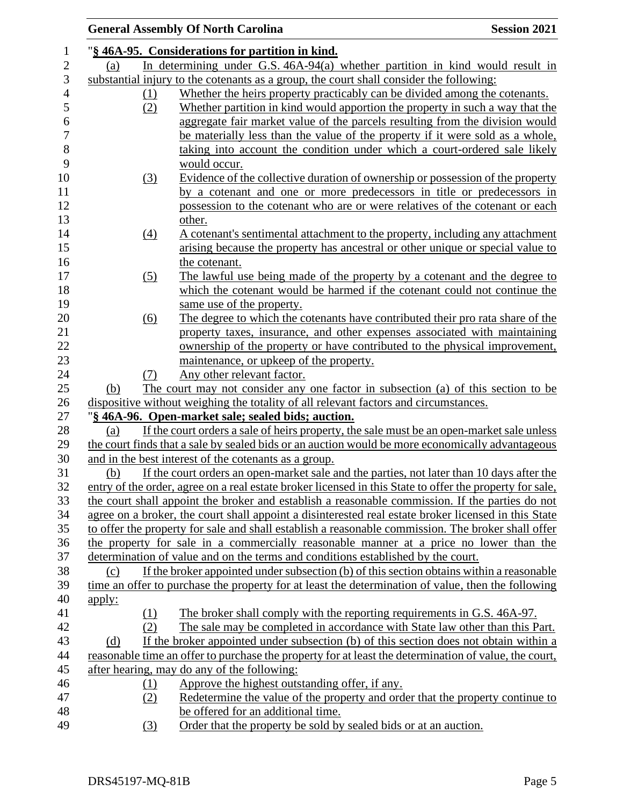|               | <b>General Assembly Of North Carolina</b>                                                                | <b>Session 2021</b> |
|---------------|----------------------------------------------------------------------------------------------------------|---------------------|
|               | "§ 46A-95. Considerations for partition in kind.                                                         |                     |
| (a)           | In determining under G.S. 46A-94(a) whether partition in kind would result in                            |                     |
|               | substantial injury to the cotenants as a group, the court shall consider the following:                  |                     |
| $\Omega$      | Whether the heirs property practicably can be divided among the cotenants.                               |                     |
| (2)           | Whether partition in kind would apportion the property in such a way that the                            |                     |
|               | aggregate fair market value of the parcels resulting from the division would                             |                     |
|               | be materially less than the value of the property if it were sold as a whole,                            |                     |
|               | taking into account the condition under which a court-ordered sale likely                                |                     |
|               | would occur.                                                                                             |                     |
| (3)           | Evidence of the collective duration of ownership or possession of the property                           |                     |
|               | by a cotenant and one or more predecessors in title or predecessors in                                   |                     |
|               | possession to the cotenant who are or were relatives of the cotenant or each                             |                     |
|               | other.                                                                                                   |                     |
| (4)           | A cotenant's sentimental attachment to the property, including any attachment                            |                     |
|               | arising because the property has ancestral or other unique or special value to                           |                     |
|               | the cotenant.                                                                                            |                     |
| (5)           | The lawful use being made of the property by a cotenant and the degree to                                |                     |
|               | which the cotenant would be harmed if the cotenant could not continue the                                |                     |
|               | same use of the property.                                                                                |                     |
| (6)           | The degree to which the cotenants have contributed their pro rata share of the                           |                     |
|               | property taxes, insurance, and other expenses associated with maintaining                                |                     |
|               | ownership of the property or have contributed to the physical improvement,                               |                     |
|               | maintenance, or upkeep of the property.                                                                  |                     |
| (7)           | Any other relevant factor.                                                                               |                     |
| (b)           | The court may not consider any one factor in subsection (a) of this section to be                        |                     |
|               | dispositive without weighing the totality of all relevant factors and circumstances.                     |                     |
|               | "§ 46A-96. Open-market sale; sealed bids; auction.                                                       |                     |
| (a)           | If the court orders a sale of heirs property, the sale must be an open-market sale unless                |                     |
|               | the court finds that a sale by sealed bids or an auction would be more economically advantageous         |                     |
|               | and in the best interest of the cotenants as a group.                                                    |                     |
| (b)           | If the court orders an open-market sale and the parties, not later than 10 days after the                |                     |
|               | entry of the order, agree on a real estate broker licensed in this State to offer the property for sale, |                     |
|               | the court shall appoint the broker and establish a reasonable commission. If the parties do not          |                     |
|               | agree on a broker, the court shall appoint a disinterested real estate broker licensed in this State     |                     |
|               | to offer the property for sale and shall establish a reasonable commission. The broker shall offer       |                     |
|               | the property for sale in a commercially reasonable manner at a price no lower than the                   |                     |
|               | determination of value and on the terms and conditions established by the court.                         |                     |
| (c)           | If the broker appointed under subsection (b) of this section obtains within a reasonable                 |                     |
|               | time an offer to purchase the property for at least the determination of value, then the following       |                     |
| <u>apply:</u> |                                                                                                          |                     |
| (1)           | The broker shall comply with the reporting requirements in G.S. 46A-97.                                  |                     |
| (2)           | The sale may be completed in accordance with State law other than this Part.                             |                     |
| (d)           | If the broker appointed under subsection (b) of this section does not obtain within a                    |                     |
|               | reasonable time an offer to purchase the property for at least the determination of value, the court,    |                     |
|               | after hearing, may do any of the following:                                                              |                     |
| $\Omega$      | Approve the highest outstanding offer, if any.                                                           |                     |
| (2)           | Redetermine the value of the property and order that the property continue to                            |                     |
|               | be offered for an additional time.                                                                       |                     |
| (3)           | Order that the property be sold by sealed bids or at an auction.                                         |                     |